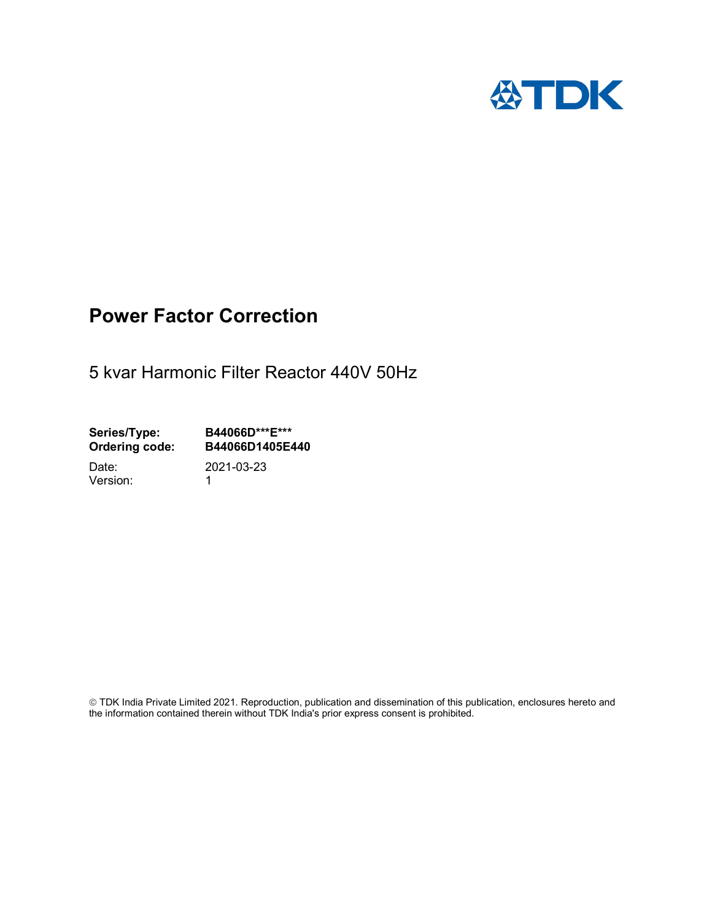

# Power Factor Correction

5 kvar Harmonic Filter Reactor 440V 50Hz

Series/Type: B44066D\*\*\*E\*\*\*<br>Ordering code: B44066D1405E4 B44066D1405E440

Version: 1

Date: 2021-03-23

 TDK India Private Limited 2021. Reproduction, publication and dissemination of this publication, enclosures hereto and the information contained therein without TDK India's prior express consent is prohibited.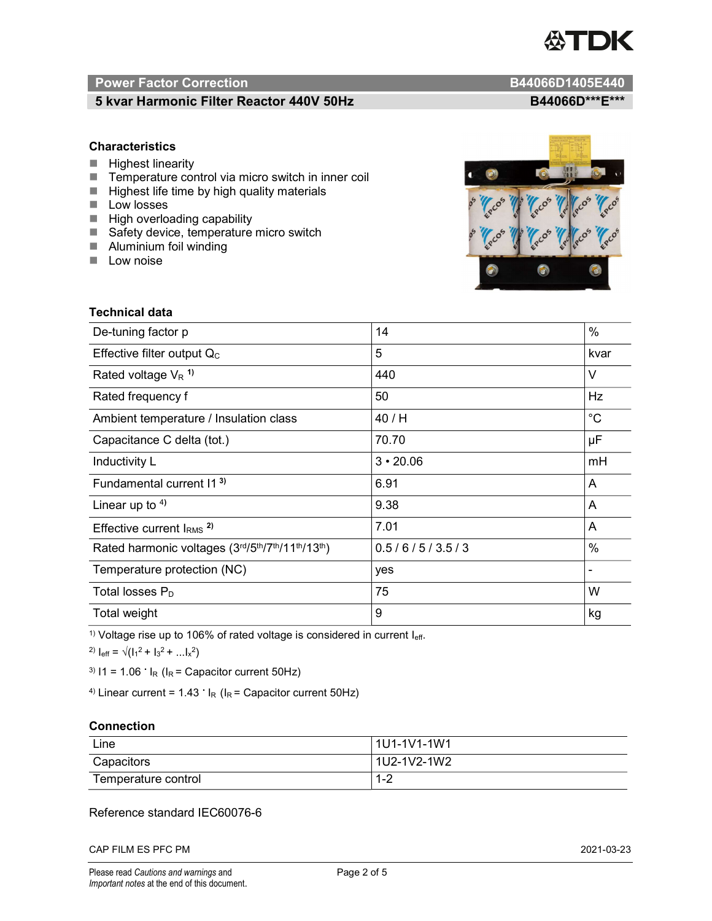

# Power Factor Correction and Content of the Content of the B44066D1405E440

# 5 kvar Harmonic Filter Reactor 440V 50Hz B44066D\*\*\*E\*\*\*

### **Characteristics**

- $H$  Highest linearity
- Temperature control via micro switch in inner coil
- $\blacksquare$  Highest life time by high quality materials
- **Low losses**
- $\blacksquare$  High overloading capability
- Safety device, temperature micro switch
- **Aluminium foil winding**
- **Low noise**



| <b>Technical data</b>                           |                 |             |  |
|-------------------------------------------------|-----------------|-------------|--|
| De-tuning factor p                              | 14              | $\%$        |  |
| Effective filter output $Q_C$                   | 5               | kvar        |  |
| Rated voltage $V_R$ <sup>1)</sup>               | 440             | V           |  |
| Rated frequency f                               | 50              | Hz          |  |
| Ambient temperature / Insulation class          | 40 / H          | $^{\circ}C$ |  |
| Capacitance C delta (tot.)                      | 70.70           | μF          |  |
| Inductivity L                                   | $3 \cdot 20.06$ | mH          |  |
| Fundamental current 11 <sup>3)</sup>            | 6.91            | A           |  |
| Linear up to $4$ )                              | 9.38            | A           |  |
| Effective current $IRMS$ <sup>2)</sup>          | 7.01            | A           |  |
| Rated harmonic voltages (3rd/5th/7th/11th/13th) | 0.5/6/5/3.5/3   | $\%$        |  |
| Temperature protection (NC)                     | yes             |             |  |
| Total losses $P_D$                              | 75              | W           |  |
| Total weight                                    | 9               | kg          |  |

<sup>1)</sup> Voltage rise up to 106% of rated voltage is considered in current  $I_{\text{eff}}$ .

<sup>2)</sup>  $I_{eff} = \sqrt{(I_1^2 + I_3^2 + ... I_x^2)}$ 

<sup>3)</sup>  $11 = 1.06$   $\cdot$   $I_R$  ( $I_R$  = Capacitor current 50Hz)

<sup>4)</sup> Linear current =  $1.43$   $\cdot$  I<sub>R</sub> (I<sub>R</sub> = Capacitor current 50Hz)

#### **Connection**

| Line                | 1U1-1V1-1W1   |
|---------------------|---------------|
| Capacitors          | l 1U2-1V2-1W2 |
| Temperature control | - 4 ວ<br>ے- ا |

### Reference standard IEC60076-6

CAP FILM ES PFC PM 2021-03-23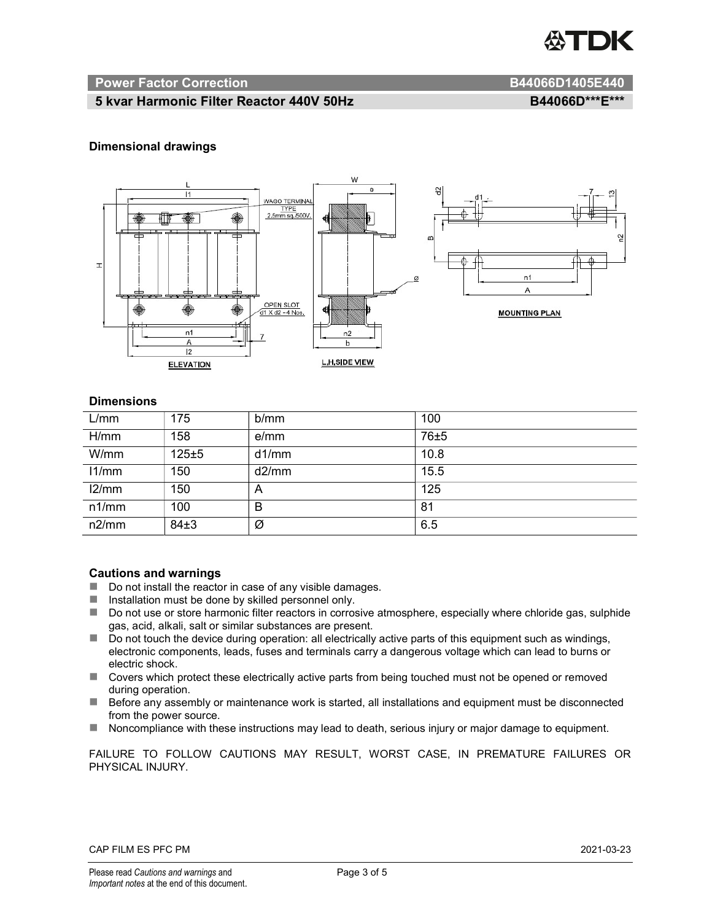

#### Power Factor Correction and B44066D1405E440

#### 5 kvar Harmonic Filter Reactor 440V 50Hz BA4060M B44066D\*\*\*E\*\*\*

#### Dimensional drawings



#### **Dimensions**

| L/mm  | 175      | b/mm  | 100  |
|-------|----------|-------|------|
| H/mm  | 158      | e/mm  | 76±5 |
| W/mm  | 125±5    | d1/mm | 10.8 |
| 11/mm | 150      | d2/mm | 15.5 |
| 12/mm | 150      | A     | 125  |
| n1/mm | 100      | B     | 81   |
| n2/mm | $84\pm3$ | Ø     | 6.5  |

#### Cautions and warnings

- Do not install the reactor in case of any visible damages.
- $\blacksquare$  Installation must be done by skilled personnel only.
- Do not use or store harmonic filter reactors in corrosive atmosphere, especially where chloride gas, sulphide gas, acid, alkali, salt or similar substances are present.
- Do not touch the device during operation: all electrically active parts of this equipment such as windings, electronic components, leads, fuses and terminals carry a dangerous voltage which can lead to burns or electric shock.
- Covers which protect these electrically active parts from being touched must not be opened or removed during operation.
- Before any assembly or maintenance work is started, all installations and equipment must be disconnected from the power source.
- Noncompliance with these instructions may lead to death, serious injury or major damage to equipment.

FAILURE TO FOLLOW CAUTIONS MAY RESULT, WORST CASE, IN PREMATURE FAILURES OR PHYSICAL INJURY.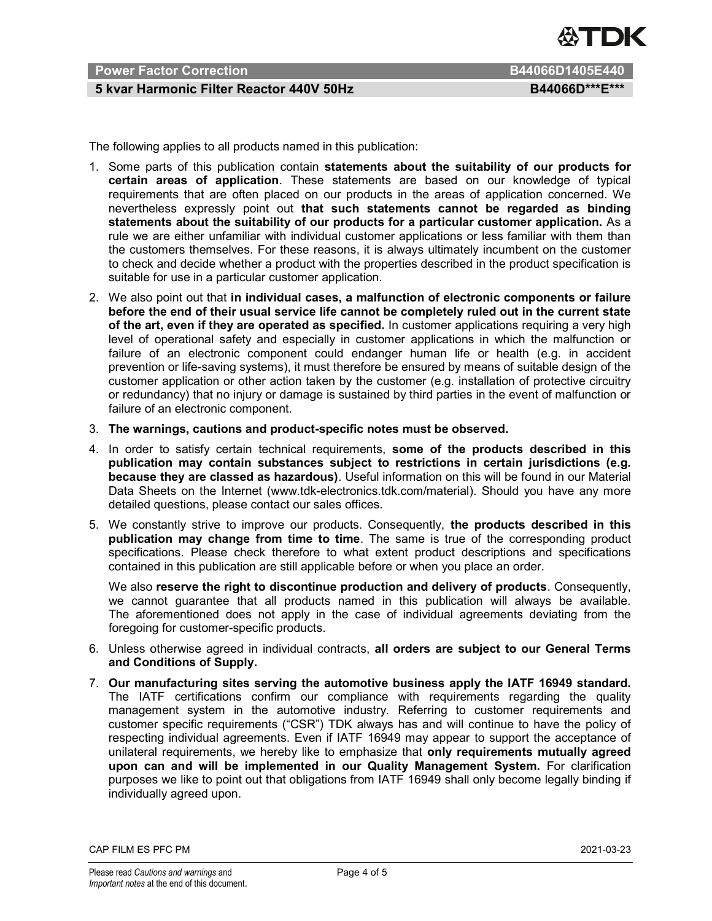

# Power Factor Correction B44066D1405E440

### 5 kvar Harmonic Filter Reactor 440V 50Hz BA4066D\*\*\*E\*\*\*

The following applies to all products named in this publication:

- 1. Some parts of this publication contain statements about the suitability of our products for certain areas of application. These statements are based on our knowledge of typical requirements that are often placed on our products in the areas of application concerned. We nevertheless expressly point out that such statements cannot be regarded as binding statements about the suitability of our products for a particular customer application. As a rule we are either unfamiliar with individual customer applications or less familiar with them than the customers themselves. For these reasons, it is always ultimately incumbent on the customer to check and decide whether a product with the properties described in the product specification is suitable for use in a particular customer application.
- 2. We also point out that in individual cases, a malfunction of electronic components or failure before the end of their usual service life cannot be completely ruled out in the current state of the art, even if they are operated as specified. In customer applications requiring a very high level of operational safety and especially in customer applications in which the malfunction or failure of an electronic component could endanger human life or health (e.g. in accident prevention or life-saving systems), it must therefore be ensured by means of suitable design of the customer application or other action taken by the customer (e.g. installation of protective circuitry or redundancy) that no injury or damage is sustained by third parties in the event of malfunction or failure of an electronic component.
- 3. The warnings, cautions and product-specific notes must be observed.
- 4. In order to satisfy certain technical requirements, some of the products described in this publication may contain substances subject to restrictions in certain jurisdictions (e.g. because they are classed as hazardous). Useful information on this will be found in our Material Data Sheets on the Internet (www.tdk-electronics.tdk.com/material). Should you have any more detailed questions, please contact our sales offices.
- 5. We constantly strive to improve our products. Consequently, the products described in this publication may change from time to time. The same is true of the corresponding product specifications. Please check therefore to what extent product descriptions and specifications contained in this publication are still applicable before or when you place an order.

We also reserve the right to discontinue production and delivery of products. Consequently, we cannot guarantee that all products named in this publication will always be available. The aforementioned does not apply in the case of individual agreements deviating from the foregoing for customer-specific products.

- 6. Unless otherwise agreed in individual contracts, all orders are subject to our General Terms and Conditions of Supply.
- 7. Our manufacturing sites serving the automotive business apply the IATF 16949 standard. The IATF certifications confirm our compliance with requirements regarding the quality management system in the automotive industry. Referring to customer requirements and customer specific requirements ("CSR") TDK always has and will continue to have the policy of respecting individual agreements. Even if IATF 16949 may appear to support the acceptance of unilateral requirements, we hereby like to emphasize that only requirements mutually agreed upon can and will be implemented in our Quality Management System. For clarification purposes we like to point out that obligations from IATF 16949 shall only become legally binding if individually agreed upon.